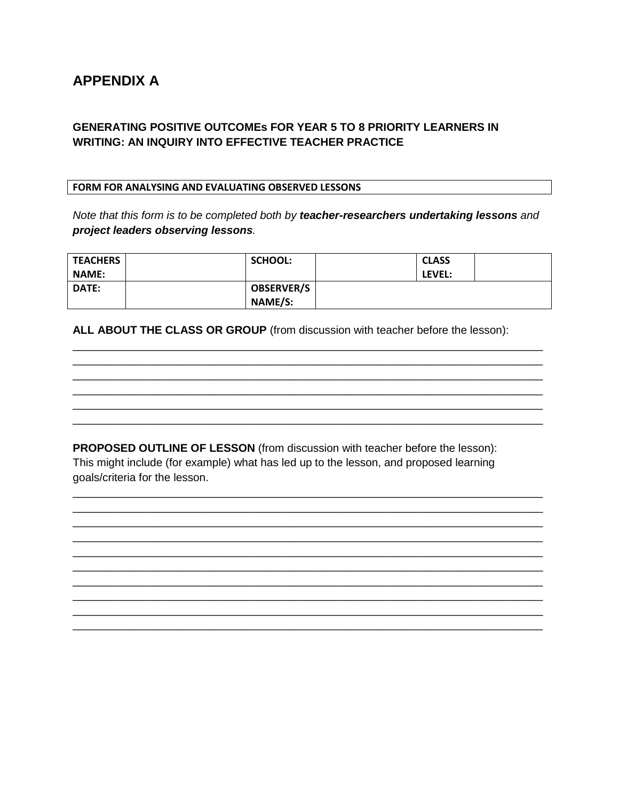# **APPENDIX A**

### **GENERATING POSITIVE OUTCOMES FOR YEAR 5 TO 8 PRIORITY LEARNERS IN WRITING: AN INQUIRY INTO EFFECTIVE TEACHER PRACTICE**

#### FORM FOR ANALYSING AND EVALUATING OBSERVED LESSONS

Note that this form is to be completed both by teacher-researchers undertaking lessons and project leaders observing lessons.

| <b>TEACHERS</b> | <b>SCHOOL:</b>    | <b>CLASS</b> |  |
|-----------------|-------------------|--------------|--|
| <b>NAME:</b>    |                   | LEVEL:       |  |
| <b>DATE:</b>    | <b>OBSERVER/S</b> |              |  |
|                 | NAME/S:           |              |  |

ALL ABOUT THE CLASS OR GROUP (from discussion with teacher before the lesson):

PROPOSED OUTLINE OF LESSON (from discussion with teacher before the lesson): This might include (for example) what has led up to the lesson, and proposed learning goals/criteria for the lesson.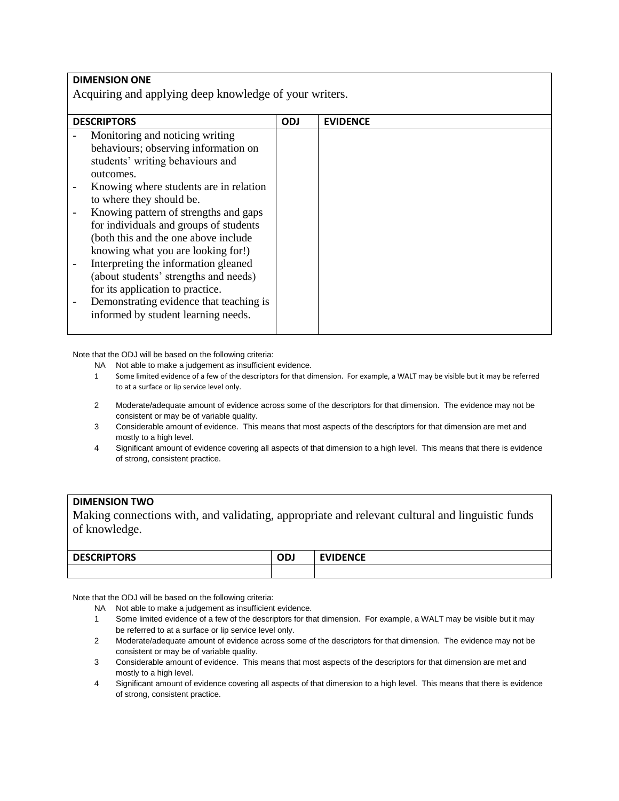| <b>DIMENSION ONE</b>                                   |            |                 |  |
|--------------------------------------------------------|------------|-----------------|--|
| Acquiring and applying deep knowledge of your writers. |            |                 |  |
|                                                        |            |                 |  |
| <b>DESCRIPTORS</b>                                     | <b>ODJ</b> | <b>EVIDENCE</b> |  |
| Monitoring and noticing writing                        |            |                 |  |
| behaviours; observing information on                   |            |                 |  |
| students' writing behaviours and                       |            |                 |  |
| outcomes.                                              |            |                 |  |
| Knowing where students are in relation                 |            |                 |  |
| to where they should be.                               |            |                 |  |
| Knowing pattern of strengths and gaps                  |            |                 |  |
| for individuals and groups of students                 |            |                 |  |
| (both this and the one above include                   |            |                 |  |
| knowing what you are looking for!)                     |            |                 |  |
| Interpreting the information gleaned                   |            |                 |  |
| (about students' strengths and needs)                  |            |                 |  |
| for its application to practice.                       |            |                 |  |
| Demonstrating evidence that teaching is                |            |                 |  |
| informed by student learning needs.                    |            |                 |  |
|                                                        |            |                 |  |

- NA Not able to make a judgement as insufficient evidence.
- 1 Some limited evidence of a few of the descriptors for that dimension. For example, a WALT may be visible but it may be referred to at a surface or lip service level only.
- 2 Moderate/adequate amount of evidence across some of the descriptors for that dimension. The evidence may not be consistent or may be of variable quality.
- 3 Considerable amount of evidence. This means that most aspects of the descriptors for that dimension are met and mostly to a high level.
- 4 Significant amount of evidence covering all aspects of that dimension to a high level. This means that there is evidence of strong, consistent practice.

#### **DIMENSION TWO**

Making connections with, and validating, appropriate and relevant cultural and linguistic funds of knowledge.

| $\sim$ $\sim$ nint $\sim$ n $\sim$<br>レレ<br>נחי<br>--<br>____<br>___ | --<br>--- | $F^{\mu\nu}$<br>∼<br>$\sim$ $\sim$ |
|----------------------------------------------------------------------|-----------|------------------------------------|
|                                                                      |           |                                    |

Note that the ODJ will be based on the following criteria:

NA Not able to make a judgement as insufficient evidence.

- 1 Some limited evidence of a few of the descriptors for that dimension. For example, a WALT may be visible but it may be referred to at a surface or lip service level only.
- 2 Moderate/adequate amount of evidence across some of the descriptors for that dimension. The evidence may not be consistent or may be of variable quality.
- 3 Considerable amount of evidence. This means that most aspects of the descriptors for that dimension are met and mostly to a high level.
- 4 Significant amount of evidence covering all aspects of that dimension to a high level. This means that there is evidence of strong, consistent practice.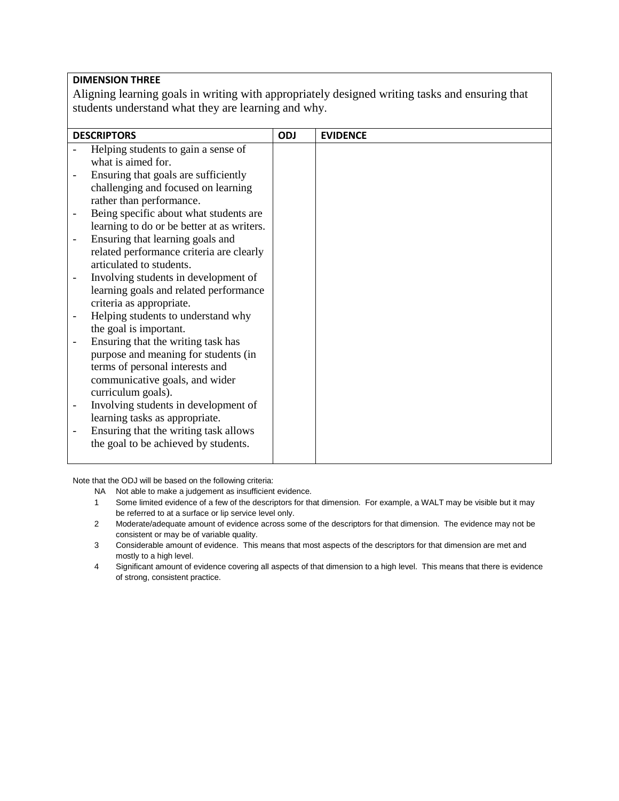#### **DIMENSION THREE**

Aligning learning goals in writing with appropriately designed writing tasks and ensuring that students understand what they are learning and why.

|   | <b>DESCRIPTORS</b>                         | <b>ODJ</b> | <b>EVIDENCE</b> |
|---|--------------------------------------------|------------|-----------------|
|   | Helping students to gain a sense of        |            |                 |
|   | what is aimed for.                         |            |                 |
|   | Ensuring that goals are sufficiently       |            |                 |
|   | challenging and focused on learning        |            |                 |
|   | rather than performance.                   |            |                 |
|   | Being specific about what students are     |            |                 |
|   | learning to do or be better at as writers. |            |                 |
|   | Ensuring that learning goals and           |            |                 |
|   | related performance criteria are clearly   |            |                 |
|   | articulated to students.                   |            |                 |
|   | Involving students in development of       |            |                 |
|   | learning goals and related performance     |            |                 |
|   | criteria as appropriate.                   |            |                 |
|   | Helping students to understand why         |            |                 |
|   | the goal is important.                     |            |                 |
|   | Ensuring that the writing task has         |            |                 |
|   | purpose and meaning for students (in       |            |                 |
|   | terms of personal interests and            |            |                 |
|   | communicative goals, and wider             |            |                 |
|   | curriculum goals).                         |            |                 |
| - | Involving students in development of       |            |                 |
|   | learning tasks as appropriate.             |            |                 |
|   | Ensuring that the writing task allows      |            |                 |
|   | the goal to be achieved by students.       |            |                 |
|   |                                            |            |                 |

- NA Not able to make a judgement as insufficient evidence.
- 1 Some limited evidence of a few of the descriptors for that dimension. For example, a WALT may be visible but it may be referred to at a surface or lip service level only.
- 2 Moderate/adequate amount of evidence across some of the descriptors for that dimension. The evidence may not be consistent or may be of variable quality.
- 3 Considerable amount of evidence. This means that most aspects of the descriptors for that dimension are met and mostly to a high level.
- 4 Significant amount of evidence covering all aspects of that dimension to a high level. This means that there is evidence of strong, consistent practice.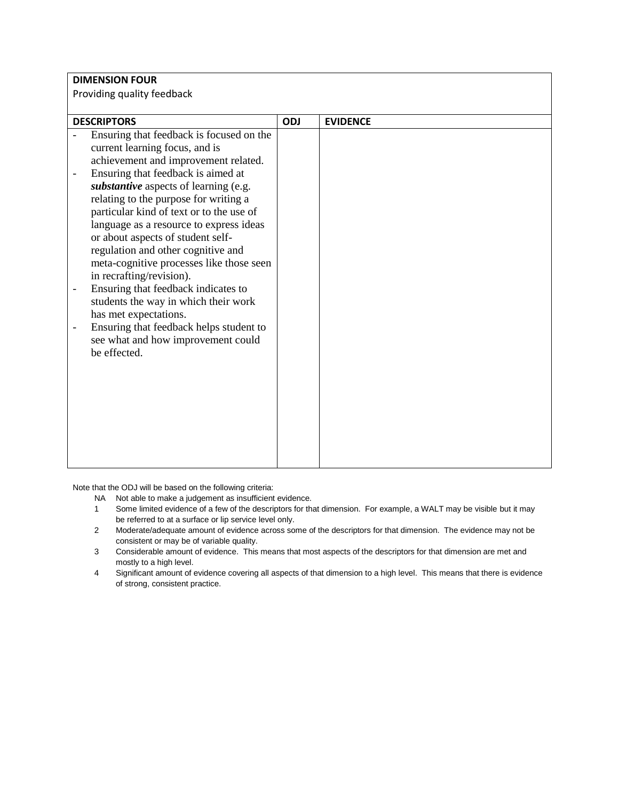|                            | <b>DIMENSION FOUR</b>                              |     |                 |  |
|----------------------------|----------------------------------------------------|-----|-----------------|--|
|                            |                                                    |     |                 |  |
| Providing quality feedback |                                                    |     |                 |  |
|                            |                                                    |     |                 |  |
|                            | <b>DESCRIPTORS</b>                                 | ODJ | <b>EVIDENCE</b> |  |
|                            | Ensuring that feedback is focused on the           |     |                 |  |
|                            | current learning focus, and is                     |     |                 |  |
|                            | achievement and improvement related.               |     |                 |  |
|                            | Ensuring that feedback is aimed at                 |     |                 |  |
|                            | substantive aspects of learning (e.g.              |     |                 |  |
|                            | relating to the purpose for writing a              |     |                 |  |
|                            | particular kind of text or to the use of           |     |                 |  |
|                            | language as a resource to express ideas            |     |                 |  |
|                            | or about aspects of student self-                  |     |                 |  |
|                            | regulation and other cognitive and                 |     |                 |  |
|                            | meta-cognitive processes like those seen           |     |                 |  |
|                            | in recrafting/revision).                           |     |                 |  |
| -                          | Ensuring that feedback indicates to                |     |                 |  |
|                            | students the way in which their work               |     |                 |  |
|                            | has met expectations.                              |     |                 |  |
|                            | Ensuring that feedback helps student to            |     |                 |  |
|                            | see what and how improvement could<br>be effected. |     |                 |  |
|                            |                                                    |     |                 |  |
|                            |                                                    |     |                 |  |
|                            |                                                    |     |                 |  |
|                            |                                                    |     |                 |  |
|                            |                                                    |     |                 |  |
|                            |                                                    |     |                 |  |
|                            |                                                    |     |                 |  |
|                            |                                                    |     |                 |  |
|                            |                                                    |     |                 |  |

- NA Not able to make a judgement as insufficient evidence.
- 1 Some limited evidence of a few of the descriptors for that dimension. For example, a WALT may be visible but it may be referred to at a surface or lip service level only.
- 2 Moderate/adequate amount of evidence across some of the descriptors for that dimension. The evidence may not be consistent or may be of variable quality.
- 3 Considerable amount of evidence. This means that most aspects of the descriptors for that dimension are met and mostly to a high level.
- 4 Significant amount of evidence covering all aspects of that dimension to a high level. This means that there is evidence of strong, consistent practice.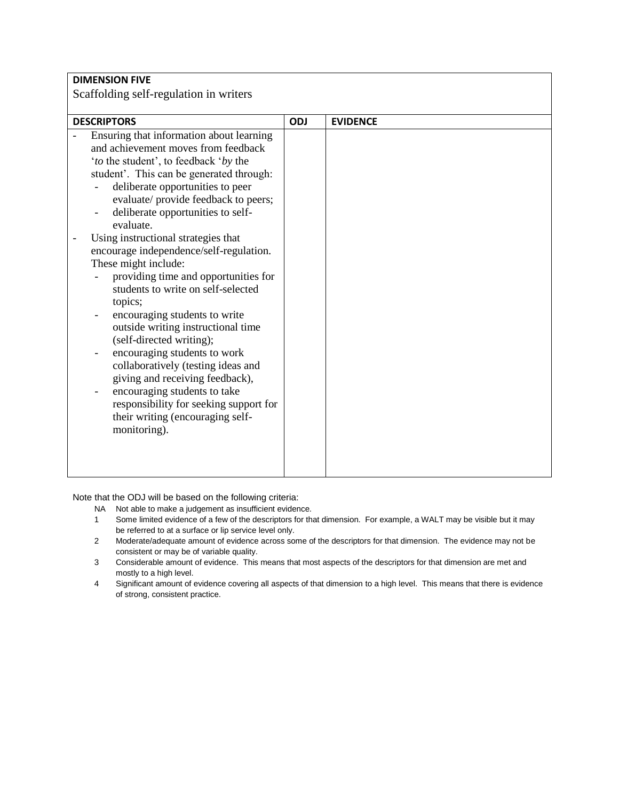| <b>DIMENSION FIVE</b><br>Scaffolding self-regulation in writers |  |  |  |
|-----------------------------------------------------------------|--|--|--|
|                                                                 |  |  |  |
| <b>EVIDENCE</b>                                                 |  |  |  |
|                                                                 |  |  |  |
|                                                                 |  |  |  |

- NA Not able to make a judgement as insufficient evidence.
- 1 Some limited evidence of a few of the descriptors for that dimension. For example, a WALT may be visible but it may be referred to at a surface or lip service level only.
- 2 Moderate/adequate amount of evidence across some of the descriptors for that dimension. The evidence may not be consistent or may be of variable quality.
- 3 Considerable amount of evidence. This means that most aspects of the descriptors for that dimension are met and mostly to a high level.
- 4 Significant amount of evidence covering all aspects of that dimension to a high level. This means that there is evidence of strong, consistent practice.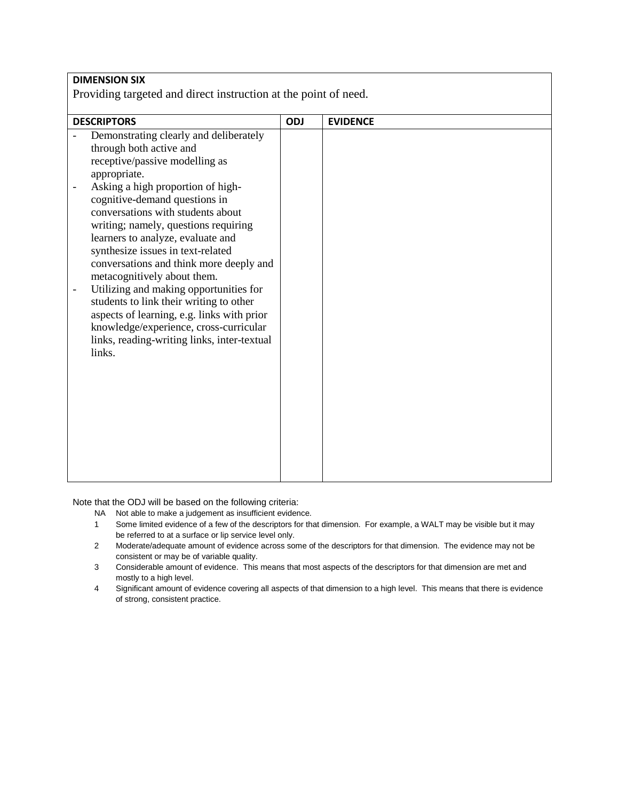| <b>DIMENSION SIX</b><br>Providing targeted and direct instruction at the point of need.                                                                                                                                                                                                                                                                                                                                                                                                                                                                                                                                                                          |     |                 |  |  |
|------------------------------------------------------------------------------------------------------------------------------------------------------------------------------------------------------------------------------------------------------------------------------------------------------------------------------------------------------------------------------------------------------------------------------------------------------------------------------------------------------------------------------------------------------------------------------------------------------------------------------------------------------------------|-----|-----------------|--|--|
| <b>DESCRIPTORS</b>                                                                                                                                                                                                                                                                                                                                                                                                                                                                                                                                                                                                                                               | ODJ | <b>EVIDENCE</b> |  |  |
| Demonstrating clearly and deliberately<br>through both active and<br>receptive/passive modelling as<br>appropriate.<br>Asking a high proportion of high-<br>cognitive-demand questions in<br>conversations with students about<br>writing; namely, questions requiring<br>learners to analyze, evaluate and<br>synthesize issues in text-related<br>conversations and think more deeply and<br>metacognitively about them.<br>Utilizing and making opportunities for<br>students to link their writing to other<br>aspects of learning, e.g. links with prior<br>knowledge/experience, cross-curricular<br>links, reading-writing links, inter-textual<br>links. |     |                 |  |  |

- NA Not able to make a judgement as insufficient evidence.
- 1 Some limited evidence of a few of the descriptors for that dimension. For example, a WALT may be visible but it may be referred to at a surface or lip service level only.
- 2 Moderate/adequate amount of evidence across some of the descriptors for that dimension. The evidence may not be consistent or may be of variable quality.
- 3 Considerable amount of evidence. This means that most aspects of the descriptors for that dimension are met and mostly to a high level.
- 4 Significant amount of evidence covering all aspects of that dimension to a high level. This means that there is evidence of strong, consistent practice.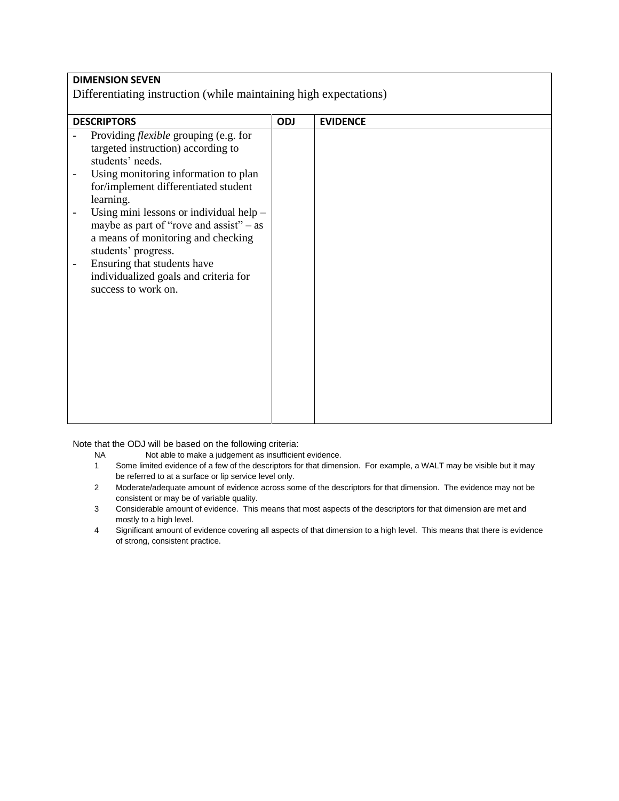| <b>DIMENSION SEVEN</b>                                                                                                                                                                                                                                                                                                                                                         |            |                 |  |  |
|--------------------------------------------------------------------------------------------------------------------------------------------------------------------------------------------------------------------------------------------------------------------------------------------------------------------------------------------------------------------------------|------------|-----------------|--|--|
| Differentiating instruction (while maintaining high expectations)                                                                                                                                                                                                                                                                                                              |            |                 |  |  |
|                                                                                                                                                                                                                                                                                                                                                                                |            |                 |  |  |
| <b>DESCRIPTORS</b><br>Providing <i>flexible</i> grouping (e.g. for<br>targeted instruction) according to<br>students' needs.<br>Using monitoring information to plan<br>for/implement differentiated student<br>learning.<br>Using mini lessons or individual help -<br>maybe as part of "rove and assist" $-$ as<br>a means of monitoring and checking<br>students' progress. | <b>ODJ</b> | <b>EVIDENCE</b> |  |  |
| Ensuring that students have<br>individualized goals and criteria for<br>success to work on.                                                                                                                                                                                                                                                                                    |            |                 |  |  |

- NA Not able to make a judgement as insufficient evidence.
- 1 Some limited evidence of a few of the descriptors for that dimension. For example, a WALT may be visible but it may be referred to at a surface or lip service level only.
- 2 Moderate/adequate amount of evidence across some of the descriptors for that dimension. The evidence may not be consistent or may be of variable quality.
- 3 Considerable amount of evidence. This means that most aspects of the descriptors for that dimension are met and mostly to a high level.
- 4 Significant amount of evidence covering all aspects of that dimension to a high level. This means that there is evidence of strong, consistent practice.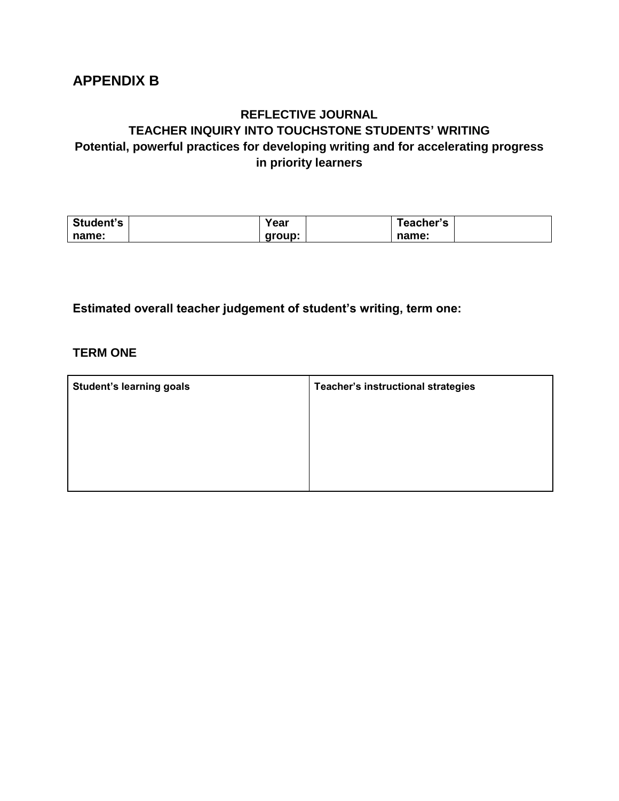# **APPENDIX B**

## **REFLECTIVE JOURNAL TEACHER INQUIRY INTO TOUCHSTONE STUDENTS' WRITING Potential, powerful practices for developing writing and for accelerating progress in priority learners**

| Student's | 'ear   | <b>⊺eacher's</b> |  |
|-----------|--------|------------------|--|
| name:     | group: | name:            |  |

**Estimated overall teacher judgement of student's writing, term one:**

### **TERM ONE**

| <b>Student's learning goals</b> | Teacher's instructional strategies |
|---------------------------------|------------------------------------|
|                                 |                                    |
|                                 |                                    |
|                                 |                                    |
|                                 |                                    |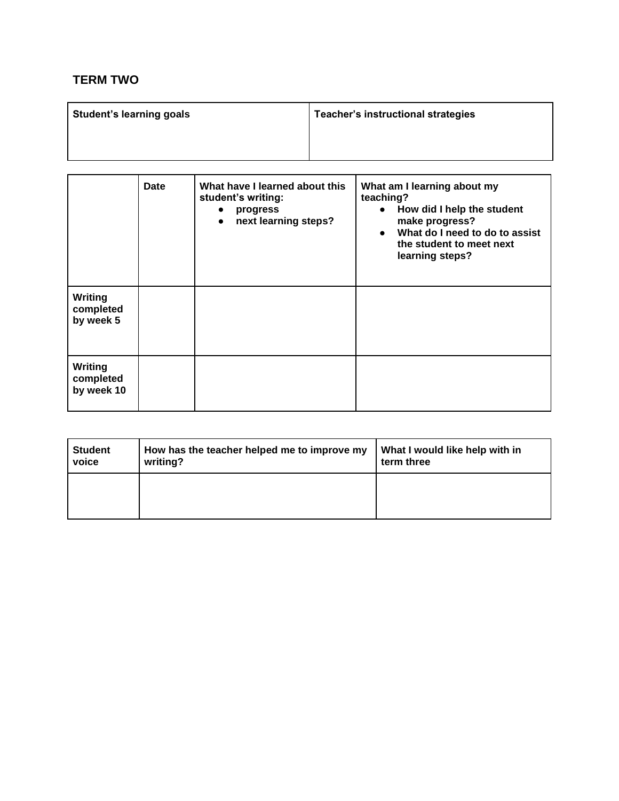## **TERM TWO**

| <b>Student's learning goals</b> | Teacher's instructional strategies |
|---------------------------------|------------------------------------|
|                                 |                                    |
|                                 |                                    |

|                                    | Date | What have I learned about this<br>student's writing:<br>progress<br>$\bullet$<br>next learning steps?<br>$\bullet$ | What am I learning about my<br>teaching?<br>How did I help the student<br>$\bullet$<br>make progress?<br>What do I need to do to assist<br>$\bullet$<br>the student to meet next<br>learning steps? |
|------------------------------------|------|--------------------------------------------------------------------------------------------------------------------|-----------------------------------------------------------------------------------------------------------------------------------------------------------------------------------------------------|
| Writing<br>completed<br>by week 5  |      |                                                                                                                    |                                                                                                                                                                                                     |
| Writing<br>completed<br>by week 10 |      |                                                                                                                    |                                                                                                                                                                                                     |

| <b>Student</b> | How has the teacher helped me to improve my | What I would like help with in |
|----------------|---------------------------------------------|--------------------------------|
| voice          | writing?                                    | term three                     |
|                |                                             |                                |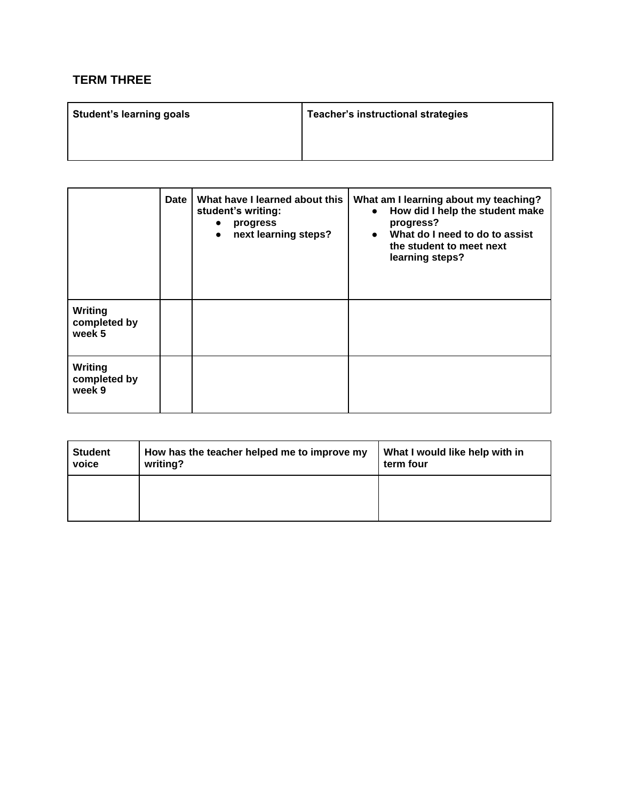## **TERM THREE**

| <b>Student's learning goals</b> | Teacher's instructional strategies |
|---------------------------------|------------------------------------|
|                                 |                                    |

|                                   | <b>Date</b> | What have I learned about this<br>student's writing:<br>progress<br>$\bullet$<br>next learning steps?<br>$\bullet$ | What am I learning about my teaching?<br>How did I help the student make<br>$\bullet$<br>progress?<br>What do I need to do to assist<br>$\bullet$<br>the student to meet next<br>learning steps? |
|-----------------------------------|-------------|--------------------------------------------------------------------------------------------------------------------|--------------------------------------------------------------------------------------------------------------------------------------------------------------------------------------------------|
| Writing<br>completed by<br>week 5 |             |                                                                                                                    |                                                                                                                                                                                                  |
| Writing<br>completed by<br>week 9 |             |                                                                                                                    |                                                                                                                                                                                                  |

| <b>Student</b> | How has the teacher helped me to improve my | What I would like help with in |
|----------------|---------------------------------------------|--------------------------------|
| voice          | writing?                                    | term four                      |
|                |                                             |                                |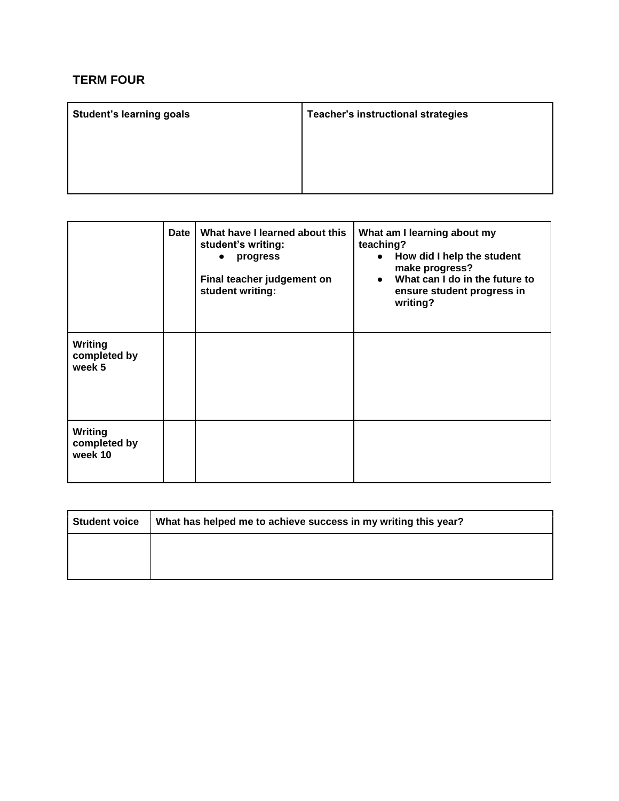## **TERM FOUR**

| <b>Student's learning goals</b> | <b>Teacher's instructional strategies</b> |
|---------------------------------|-------------------------------------------|
|                                 |                                           |
|                                 |                                           |
|                                 |                                           |

|                                           | <b>Date</b> | What have I learned about this<br>student's writing:<br>progress<br>$\bullet$<br>Final teacher judgement on<br>student writing: | What am I learning about my<br>teaching?<br>How did I help the student<br>$\bullet$<br>make progress?<br>What can I do in the future to<br>$\bullet$<br>ensure student progress in<br>writing? |
|-------------------------------------------|-------------|---------------------------------------------------------------------------------------------------------------------------------|------------------------------------------------------------------------------------------------------------------------------------------------------------------------------------------------|
| <b>Writing</b><br>completed by<br>week 5  |             |                                                                                                                                 |                                                                                                                                                                                                |
| <b>Writing</b><br>completed by<br>week 10 |             |                                                                                                                                 |                                                                                                                                                                                                |

| Student voice | What has helped me to achieve success in my writing this year? |  |  |
|---------------|----------------------------------------------------------------|--|--|
|               |                                                                |  |  |
|               |                                                                |  |  |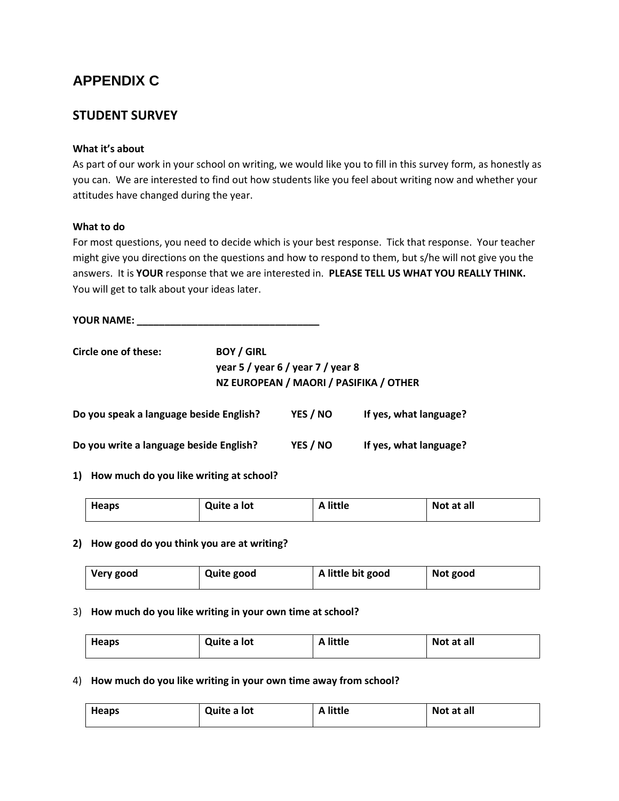# **APPENDIX C**

### **STUDENT SURVEY**

#### **What it's about**

As part of our work in your school on writing, we would like you to fill in this survey form, as honestly as you can. We are interested to find out how students like you feel about writing now and whether your attitudes have changed during the year.

#### **What to do**

For most questions, you need to decide which is your best response. Tick that response. Your teacher might give you directions on the questions and how to respond to them, but s/he will not give you the answers. It is **YOUR** response that we are interested in. **PLEASE TELL US WHAT YOU REALLY THINK.**  You will get to talk about your ideas later.

**YOUR NAME: \_\_\_\_\_\_\_\_\_\_\_\_\_\_\_\_\_\_\_\_\_\_\_\_\_\_\_\_\_\_\_\_\_** 

| Circle one of these:                    | <b>BOY / GIRL</b> |                                                                             |                        |
|-----------------------------------------|-------------------|-----------------------------------------------------------------------------|------------------------|
|                                         |                   | year 5 / year 6 / year 7 / year 8<br>NZ EUROPEAN / MAORI / PASIFIKA / OTHER |                        |
| Do you speak a language beside English? |                   | YES / NO                                                                    | If yes, what language? |

| Do you write a language beside English? | YES / NO | If yes, what language? |
|-----------------------------------------|----------|------------------------|

**1) How much do you like writing at school?**

| <b>Heaps</b> | Quite a lot | <b>A</b> little | Not at all |
|--------------|-------------|-----------------|------------|
|              |             |                 |            |

#### **2) How good do you think you are at writing?**

| Very good | <b>Quite good</b> | A little bit good | Not good |
|-----------|-------------------|-------------------|----------|
|-----------|-------------------|-------------------|----------|

#### 3) **How much do you like writing in your own time at school?**

| <b>Heaps</b> | Quite a lot | A little | Not at all |
|--------------|-------------|----------|------------|
|              |             |          |            |

#### 4) **How much do you like writing in your own time away from school?**

| <b>Heaps</b> | Quite a lot | A little | Not at all |
|--------------|-------------|----------|------------|
|              |             |          |            |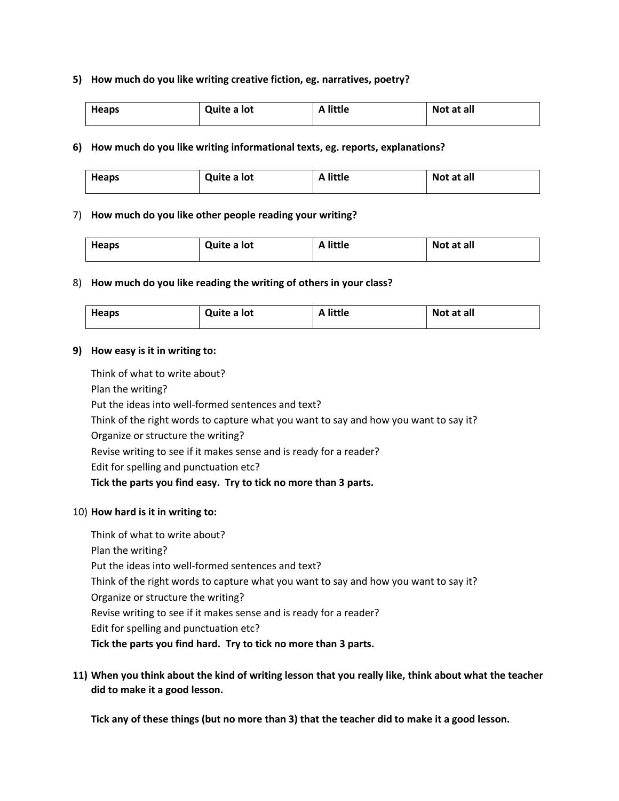#### **5) How much do you like writing creative fiction, eg. narratives, poetry?**

| <b>Heaps</b> | Quite a lot | <b>A</b> little | Not at all |
|--------------|-------------|-----------------|------------|
|              |             |                 |            |

#### **6) How much do you like writing informational texts, eg. reports, explanations?**

| <b>Heaps</b> | Quite a lot | <b>A</b> little | Not at all |
|--------------|-------------|-----------------|------------|
|              |             |                 |            |

#### 7) **How much do you like other people reading your writing?**

| <b>Heaps</b> | Quite a lot | A little | Not at all |
|--------------|-------------|----------|------------|
|              |             |          |            |

#### 8) **How much do you like reading the writing of others in your class?**

| <b>Heaps</b> | Quite a lot | A little | Not at all |
|--------------|-------------|----------|------------|
|--------------|-------------|----------|------------|

#### **9) How easy is it in writing to:**

Think of what to write about? Plan the writing? Put the ideas into well-formed sentences and text? Think of the right words to capture what you want to say and how you want to say it? Organize or structure the writing? Revise writing to see if it makes sense and is ready for a reader? Edit for spelling and punctuation etc? **Tick the parts you find easy. Try to tick no more than 3 parts.**

#### 10) **How hard is it in writing to:**

Think of what to write about? Plan the writing? Put the ideas into well-formed sentences and text? Think of the right words to capture what you want to say and how you want to say it? Organize or structure the writing? Revise writing to see if it makes sense and is ready for a reader? Edit for spelling and punctuation etc? **Tick the parts you find hard. Try to tick no more than 3 parts.**

**11) When you think about the kind of writing lesson that you really like, think about what the teacher did to make it a good lesson.** 

**Tick any of these things (but no more than 3) that the teacher did to make it a good lesson.**